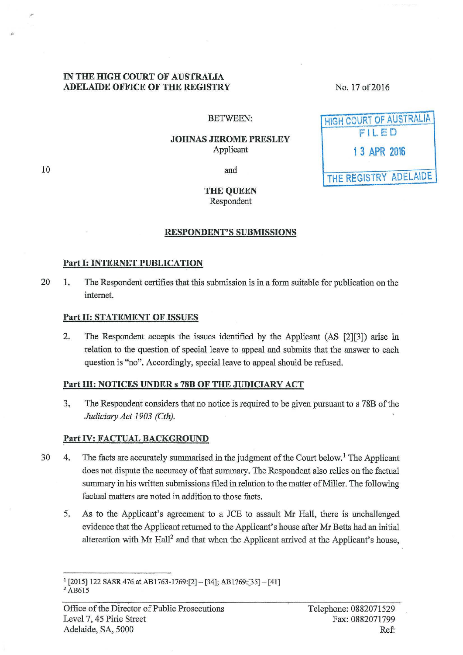## IN THE HIGH COURT OF AUSTRALIA ADELAIDE OFFICE OF THE REGISTRY

No. 17 of2016

HIGH COURT OF AUSTRALIA F ILE D

1 3 APR 2016

THE REGISTRY ADELAIDE

#### BETWEEN:

#### JOHNAS JEROME PRESLEY Applicant

10

..

and

## THE QUEEN Respondent

#### RESPONDENT'S SUBMISSIONS

## Part I: INTERNET PUBLICATION

20 1. The Respondent certifies that this submission is in a form suitable for publication on the internet.

#### Part II: STATEMENT OF ISSUES

2. The Respondent accepts the issues identified by the Applicant (AS [2][3]) arise in relation to the question of special leave to appeal and submits that the answer to each question is "no". Accordingly, special leave to appeal should be refused.

## Part III: NOTICES UNDER s 78B OF THE JUDICIARY ACT

3. The Respondent considers that no notice is required to be given pursuant to s 78B of the *Judiciary Act 1903 (Cth).* 

## Part IV: FACTUAL BACKGROUND

- 30 4. The facts are accurately summarised in the judgment of the Court below.<sup>1</sup> The Applicant does not dispute the accuracy of that summary. The Respondent also relies on the factual summary in his written submissions filed in relation to the matter of Miller. The following factual matters are noted in addition to those facts.
	- 5. As to the Applicant's agreement to a JCE to assault Mr Hall, there is unchallenged evidence that the Applicant returned to the Applicant's house after Mr Betts had an initial altercation with Mr Hall<sup>2</sup> and that when the Applicant arrived at the Applicant's house,

<sup>1</sup>[2015) 122 SASR476 at AB1763-1769:[2] - [34]; AB1769:[35]- [41]

<sup>&</sup>lt;sup>2</sup> AB615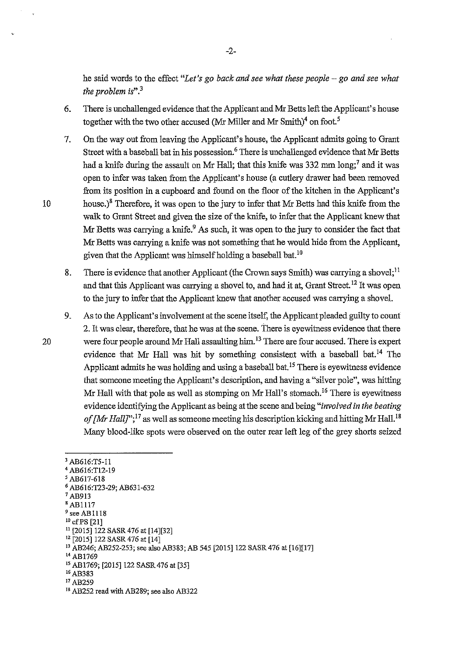he said words to the effect *"Let's go back and see what these people- go and see what the problem* is".<sup>3</sup>

- 6. There is unchallenged evidence that the Applicant and Mr Betts left the Applicant's house together with the two other accused (Mr Miller and Mr Smith)<sup>4</sup> on foot.<sup>5</sup>
- 7. On the way out from leaving the Applicant's house, the Applicant admits going to Grant Street with a baseball bat in his possession. 6 There is unchallenged evidence that Mr Betts had a knife during the assault on Mr Hall; that this knife was 332 mm  $\text{long;}^7$  and it was open to infer was taken from the Applicant's house (a cutlery drawer had been removed from its position in a cupboard and found on the floor of the kitchen in the Applicant's 10 house.)<sup>8</sup> Therefore, it was open to the jury to infer that Mr Betts had this knife from the walk to Grant Street and given the size of the knife, to infer that the Applicant knew that Mr Betts was carrying a knife.<sup>9</sup> As such, it was open to the jury to consider the fact that Mr Betts was carrying a knife was not something that he would hide from the Applicant, given that the Applicant was himself holding a baseball bat.<sup>10</sup>
	- 8. There is evidence that another Applicant (the Crown says Smith) was carrying a shovel;<sup>11</sup> and that this Applicant was carrying a shovel to, and had it at, Grant Street.<sup>12</sup> It was open to the jury to infer that the Applicant knew that another accused was carrying a shovel.
- 9. As to the Applicant's involvement at the scene itself, the Applicant pleaded guilty to count 2. It was clear, therefore, that he was at the scene. There is eyewitness evidence that there 20 were four people around Mr Hall assaulting him.<sup>13</sup> There are four accused. There is expert evidence that Mr Hall was hit by something consistent with a baseball bat.<sup>14</sup> The Applicant admits he was holding and using a baseball bat.<sup>15</sup> There is eyewitness evidence that someone meeting the Applicant's description, and having a "silver pole", was hitting Mr Hall with that pole as well as stomping on Mr Hall's stomach.<sup>16</sup> There is eyewitness evidence identifying the Applicant as being at the scene and being *"involved in the beating*  of [Mr Hall]";<sup>17</sup> as well as someone meeting his description kicking and hitting Mr Hall.<sup>18</sup> Many blood-like spots were observed on the outer rear left leg of the grey shorts seized

- <sup>1</sup>AB913
- 'AB1117
- $<sup>9</sup>$  see AB1118<br><sup>10</sup> cf PS [21]</sup>
- 

<sup>3</sup> AB616:T5-ll

<sup>4</sup> AB616:TI2-19

*<sup>5</sup>*AB617-618

<sup>6</sup> AB616:T23-29; AB631-632

<sup>&</sup>lt;sup>11</sup> [2015] 122 SASR 476 at [14][32]<br><sup>12</sup> [2015] 122 SASR 476 at [14]<br><sup>13</sup> AB246; AB252-253; see also AB383; AB 545 [2015] 122 SASR 476 at [16][17]<br><sup>14</sup> AB1769

<sup>&</sup>lt;sup>15</sup> AB1769; [2015] 122 SASR 476 at [35] <sup>16</sup> AB383<br><sup>17</sup> AB259

<sup>&</sup>lt;sup>18</sup> AB252 read with AB289; see also AB322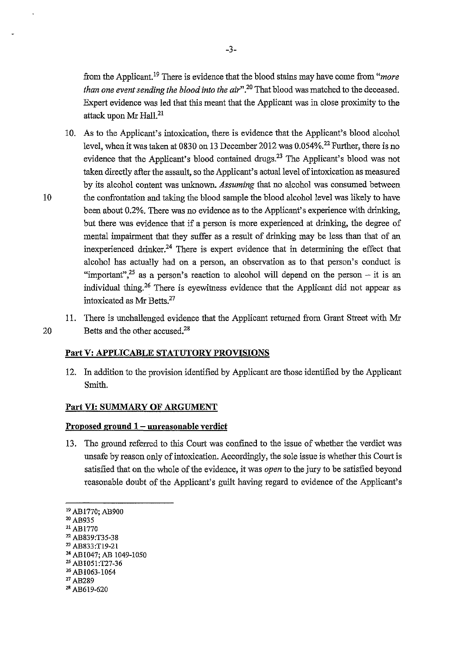from the Applicant.19 There is evidence that the blood stains may have come from *"more than one event sending the blood into the air"* . 20 That blood was matched to the deceased. Expert evidence was led that this meant that the Applicant was in close proximity to the attack upon Mr Hall.<sup>21</sup>

10. As to the Applicant's intoxication, there is evidence that the Applicant's blood alcohol level, when it was taken at 0830 on 13 December 2012 was  $0.054\%$ <sup>22</sup> Further, there is no evidence that the Applicant's blood contained drugs.23 The Applicant's blood was not taken directly after the assault, so the Applicant's actual level of intoxication as measured by its alcohol content was unknown. *Assuming* that no alcohol was consumed between 10 the confrontation and taking the blood sample the blood alcohol level was likely to have been about 0.2%. There was no evidence as to the Applicant's experience with drinking, but there was evidence that if a person is more experienced at drinking, the degree of mental impairment that they suffer as a result of drinking may be less than that of an inexperienced drinker.24 There is expert evidence that in determining the effect that alcohol has actually had on a person, an observation as to that person's conduct is "important",<sup>25</sup> as a person's reaction to alcohol will depend on the person – it is an individual thing. 26 There is eyewitness evidence that the Applicant did not appear as intoxicated as Mr Betts.<sup>27</sup>

11. There is unchallenged evidence that the Applicant returned from Grant Street with Mr 20 Betts and the other accused.<sup>28</sup>

## **Part V: APPLICABLE STATUTORY PROVISIONS**

12. In addition to the provision identified by Applicant are those identified by the Applicant Smith.

#### **Part VI: SUMMARY OF ARGUMENT**

### **Proposed ground 1 -unreasonable verdict**

13. The ground referred to this Court was confined to the issue of whether the verdict was unsafe by reason only of intoxication. Accordingly, the sole issue is whether this Court is satisfied that on the whole of the evidence, it was *open* to the jury to be satisfied beyond reasonable doubt of the Applicant's guilt having regard to evidence of the Applicant's

- 
- 
- 
- <sup>20</sup> AB935<br><sup>21</sup> AB1770<br><sup>22</sup> AB839:T35-38<br><sup>23</sup> AB833:T19-21<br><sup>24</sup> AB1047; AB 1049-1050
- <sup>25</sup> AB1051:T27-36<br><sup>26</sup> AB1063-1064
- 
- 27 AB289
- *28* AB619-620

<sup>19</sup> ABI770; AB900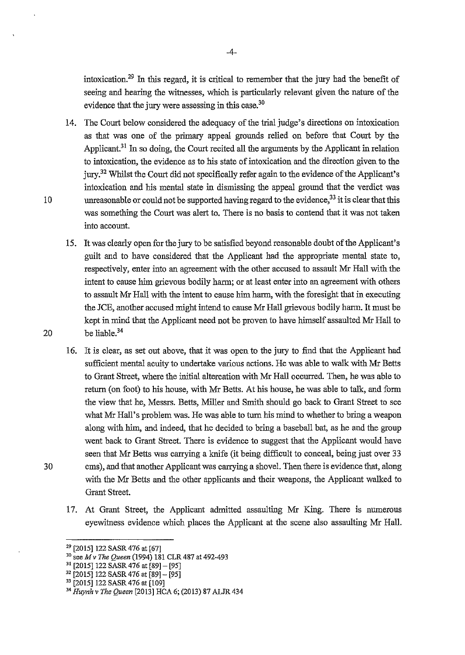intoxication.<sup>29</sup> In this regard, it is critical to remember that the jury had the benefit of seeing and hearing the witnesses, which is particularly relevant given the natnre of the evidence that the jury were assessing in this case.<sup>30</sup>

- 14. The Court below considered the adequacy of the trial judge's directions on intoxication as that was one of the primary appeal grounds relied on before that Court by the Applicant.<sup>31</sup> In so doing, the Court recited all the arguments by the Applicant in relation to intoxication, the evidence as to his state of intoxication and the direction given to the jury.32 Whilst the Court did not specifically refer again to the evidence of the Applicant's intoxication and his mental state in dismissing the appeal ground that the verdict was 10 unreasonable or could not be supported having regard to the evidence,  $33$  it is clear that this was something the Court was alert to. There is no basis to contend that it was not taken into account.
- 15. It was clearly open for the jury to be satisfied beyond reasonable doubt of the Applicant's guilt and to have considered that the Applicant had the appropriate mental state to, respectively, enter into an agreement with the other accused to assault Mr Hall with the intent to cause him grievous bodily harm; or at least enter into an agreement with others to assault Mr Hall with the intent to cause him harm, with the foresight that in executing the JCE, another accused might intend to cause Mr Hall grievous bodily harm. It must be kept in mind that the Applicant need not be proven to have himself assaulted Mr Hall to 20 be liable.<sup>34</sup>
- 16. It is clear, as set out above, that it was open to the jury to find that the Applicant had sufficient mental acuity to undertake various actions. He was able to walk with Mr Betts to Grant Street, where the initial altercation with Mr Hall occurred. Then, he was able to return (on foot) to his house, with Mr Betts. At his house, he was able to talk, and form the view that he, Messrs. Betts, Miller and Smith should go back to Grant Street to see what Mr Hall's problem was. He was able to turn his mind to whether to bring a weapon along with him, and indeed, that he decided to bring a baseball bat, as he and the group went back to Grant Street. There is evidence to suggest that the Applicant would have seen that Mr Betts was carrying a knife (it being difficult to conceal, being just over 33 30 ems), and that another Applicant was carrying a shovel. Then there is evidence that, along with the Mr Betts and the other applicants and their weapons, the Applicant walked to Grant Street.
	- 17. At Grant Street, the Applicant admitted assaulting Mr King. There is numerous eyewitness evidence which places the Applicant at the scene also assaulting Mr Hall.

<sup>&</sup>lt;sup>29</sup> [2015] 122 SASR 476 at [67]<br><sup>30</sup> see *M v The Queen* (1994) 181 CLR 487 at 492-493<br><sup>31</sup> [2015] 122 SASR 476 at [89] – [95]

 $32$  [2015] 122 SASR 476 at [89] - [95]

<sup>&</sup>lt;sup>33</sup> [2015] 122 SASR 476 at [109]

<sup>34</sup>*Huynh v The Queen* [2013] HCA 6; (2013) 87 ALJR 434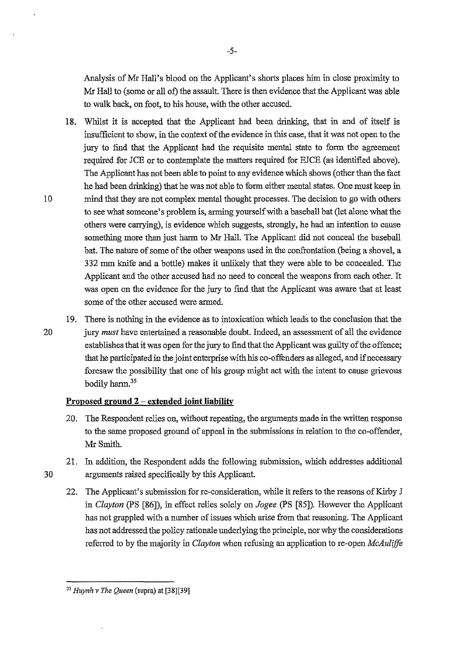Analysis of Mr Hall's blood on the Applicant's shorts places him in close proximity to Mr Hall to (some or all of) the assault. There is then evidence that the Applicant was able to walk back, on foot, to his house, with the other accused.

- 18. Whilst it is accepted that the Applicant had been drinking, that in and of itself is insufficient to show, in the context of the evidence in this case, that it was not open to the jury to find that the Applicant had the requisite mental state to form the agreement required for JCE or to contemplate the matters required for EJCE (as identified above). The Applicant has not been able to point to any evidence which shows (other than the fact he had been drinking) that he was not able to form either mental states. One must keep in 10 mind that they are not complex mental thought processes. The decision to go with others to see what someone's problem is, arming yourself with a baseball bat (let alone what the others were carrying), is evidence which suggests, strongly, he had an intention to cause something more than just harm to Mr Hall. The Applicant did not conceal the baseball bat. The nature of some of the other weapons used in the confrontation (being a shovel, a 332 mm knife and a bottle) makes it unlikely that they were able to be concealed. The Applicant and the other accused had no need to conceal the weapons from each other. It was open on the evidence for the jury to find that the Applicant was aware that at least some of the other accused were armed.
- 19. There is nothing in the evidence as to intoxication which leads to the conclusion that the 20 jury *must* have entertained a reasonable doubt. Indeed, an assessment of all the evidence establishes that it was open for the jury to find that the Applicant was guilty of the offence; that he participated in the joint enterprise with his co-offenders as alleged, and if necessary foresaw the possibility that one of his group might act with the intent to cause grievous bodily harm.<sup>35</sup>

## **Proposed ground 2 - extended joint liability**

- 20. The Respondent relies on, without repeating, the arguments made in the written response to the same proposed ground of appeal in the submissions in relation to the co-offender, MrSmith.
- 21. In addition, the Respondent adds the following submission, which addresses additional 30 arguments raised specifically by this Applicant.
	- 22. The Applicant's submission for re-consideration, while it refers to the reasons of Kirby J in *Clayton* (PS [86]), in effect relies solely on *Jogee* (PS [85]). However the Applicant has not grappled with a number of issues which arise from that reasoning. The Applicant has not addressed the policy rationale underlying the principle, nor why the considerations referred to by the majority in *Clayton* when refusing an application to re-open *McAuliffe*

*<sup>35</sup> Huynh v The Queen* (supra) at [38][39]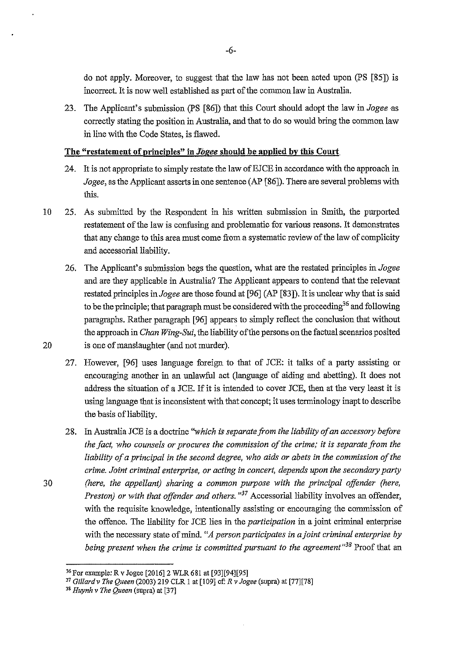do not apply. Moreover, to suggest that the law has not been acted upon (PS [85]) is incorrect. It is now well established as part of the common law in Australia.

23. The Applicant's submission (PS [86]) that this Court should adopt the law in *Jogee* as correctly stating the position in Australia, and that to do so would bring the common law in line with the Code States, is flawed.

### **The "restatement of principles" in** *Jbgee* **should be applied by this Court.**

- 24. It is not appropriate to simply restate the law of EJCE in accordance with the approach in *Jogee*, as the Applicant asserts in one sentence (AP [86]). There are several problems with this.
- 10 25. As submitted by the Respondent in his written submission in Smith, the purported restatement of the law is confusing and problematic for various reasons. It demonstrates that any change to this area must come from a systematic review of the law of complicity and accessorial liability.
- 26. The Applicant's submission begs the question, what are the restated principles in *Jogee*  and are they applicable in Australia? The Applicant appears to contend that the relevant restated principles in *Jogee* are those found at [96] (AP [83]). It is unclear why that is said to be the principle; that paragraph must be considered with the proceeding<sup>36</sup> and following paragraphs. Rather paragraph [96] appears to simply reflect the conclusion that without the approach in *Chan Wing-Sui,* the liability of the persons on the factual scenarios posited 20 is one of manslaughter (and not murder).
	- 27. However, [96] uses language foreign to that of JCE: it talks of a party assisting or encouraging another in an unlawful act (language of aiding and abetting). It does not address the situation of a JCE. If it is intended to cover JCE, then at the very least it is using language that is inconsistent with that concept; it uses terminology inapt to describe the basis of liability.
- 28. In Australia JCE is a doctrine *"which is separate from the liability of an accessmy before the fact, who counsels or procures the commission of the crime; it is separate from the liability of a principal in the second degree, who aids or abets in the commission of the crime. Joint criminal enterprise, or acting in concert, depends upon the secondary party*  30 *(here, the appellant) sharing a common purpose with the principal offender (here, Preston) or with that offender and others. "37* Accessorial liability involves an offender, with the requisite knowledge, intentionally assisting or encouraging the commission of the offence. The liability for JCE lies in the *participation* in a joint criminal enterprise with the necessary state of mind. *"A person participates in a joint criminal enterprise by being present when the crime is committed pursuant to the agreement<sup>138</sup> Proof that an*

<sup>36</sup> For example: R v Jogee [2016]2 WLR 681 at [93][94][95]

<sup>37</sup>*Gillard v The Queen* (2003) 219 CLR I at [1 09] cf: *R v Jogee* (supra) at [77][78]

*<sup>&</sup>quot;Huynh v The Queen* (supra) at [37]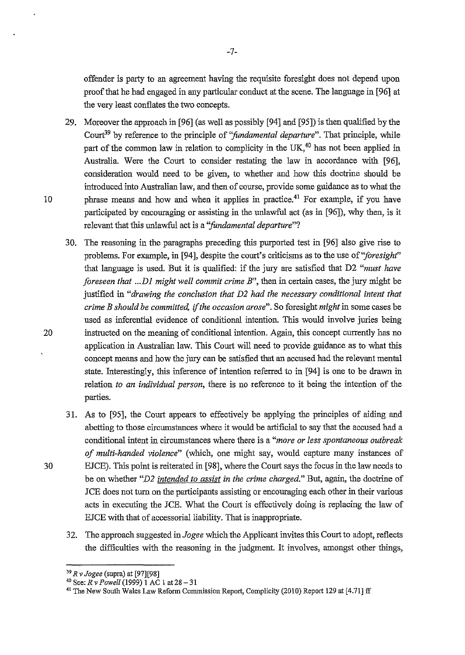offender is party to an agreement having the requisite foresight does not depend upon proof that he had engaged in any particular conduct at the scene. The language in [96] at the very least conflates the two concepts.

- 29. Moreover the approach in [96] (as well as possibly [94] and [95]) is then qualified by the Court<sup>39</sup> by reference to the principle of *"fundamental departure"*. That principle, while part of the common law in relation to complicity in the UK.<sup>40</sup> has not been applied in Australia. Were the Court to consider restating the law in accordance with [96], consideration would need to be given, to whether and how this doctrine should be introduced into Australian law, and then of course, provide some guidance as to what the 10 phrase means and how and when it applies in practice.<sup>41</sup> For example, if you have participated by encouraging or assisting in the unlawful act (as in [96]), why then, is it relevant that this unlawful act is a "fundamental departure"?
- 30. The reasoning in the paragraphs preceding this purported test in [96] also give rise to problems. For example, in [94], despite the court's criticisms as to the use *of"foresighf'*  that language is used. But it is qualified: if the jury are satisfied that D2 *"must have foreseen that ... Dl might well commit crime B",* then in certain cases, the jury might be justified in *"drawing the conclusion that D2 had the necessary conditional intent that crime B should be committed,* if *the occasion arose".* So foresight *might* in some cases be used as inferential evidence of conditional intention. This would involve juries being 20 instructed on the meaning of conditional intention. Again, this concept currently has no application in Australian law. This Court will need to provide guidance as to what this concept means and how the jury can be satisfied that an accused had the relevant mental state. Interestingly, this inference of intention referred to in [94] is one to be drawn in relation *to an individual person,* there is no reference to it being the intention of the parties.
- 31. As to [95], the Court appears to effectively be applying the principles of aiding and abetting to those circumstances where it would be artificial to say that the accused had a conditional intent in circumstances where there is a *"more or less spontaneous outbreak of multi-handed violence"* (which, one might say, would capture many instances of 30 EJCE). This point is reiterated in [98], where the Court says the focus in the law needs to be on whether *"D2 intended to assist* in *the crime charged."* But, again, the doctrine of JCE does not turn on the participants assisting or encouraging each other in their various acts in executing the JCE. What the Court is effectively doing is replacing the law of EJCE with that of accessorial liability. That is inappropriate.
	- 32. The approach suggested *inJogee* which the Applicant invites this Court to adopt, reflects the difficulties with the reasoning in the judgment. It involves, amongst other things,

<sup>39</sup>*R v Jogee* (supra) at [97][98]

<sup>&</sup>lt;sup>41</sup> The New South Wales Law Reform Commission Report, Complicity (2010) Report 129 at [4.71] ff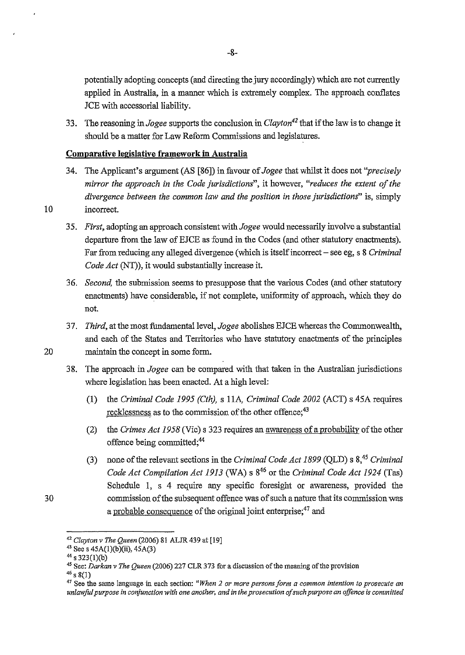potentially adopting concepts (and directing the jury accordingly) which are not currently applied in Australia, in a manner which is extremely complex. The approach conflates JCE with accessorial liability.

33. The reasoning in *Jogee* supports the conclusion in *Clayton<sup>42</sup>*that if the law is to change it should be a matter for Law Reform Commissions and legislatures.

### **Comparative legislative framework in Australia**

- 34. The Applicant's argument (AS [86]) in favour of *Jogee* that whilst it does not *"precisely mirror the approach* in *the Code jw-isdictions",* it however, *"reduces the extent of the divergence between the common law and the position* in *those jurisdictions"* is, simply 10 incorrect.
	- 35. *First,* adopting an approach consistent with *Jogee* would necessarily involve a substantial departure from the law of EJCE as found in the Codes (and other statutory enactments). Far from reducing any alleged divergence (which is itself incorrect- see eg, s 8 *Criminal Code Act* (NT)), it would substantially increase it.
	- 36. *Second,* the submission seems to presuppose that the various Codes (and other statutory enactments) have considerable, if not complete, uniformity of approach, which they do not.
- 37. *Third,* at the most fundamental level, *Jogee* abolishes EJCE whereas the Commonwealth, and each of the States and Territories who have statutory enactments of the principles 20 maintain the concept in some form.
	- 38. The approach in *Jogee* can be compared with that taken in the Australian jurisdictions where legislation has been enacted. At a high level:
		- (1) the *Criminal Code 1995 (Cth),* s llA, *Criminal Code 2002* (ACT) s 45A requires recklessness as to the commission of the other offence;<sup>43</sup>
		- (2) the *Crimes Act 1958* (Vic) s 323 requires an awareness of a probability of the other offence being committed;<sup>44</sup>
		- (3) none of the relevant sections in the *Criminal Code Act 1899* (QLD) s 8,45 *Criminal Code Act Compilation Act 1913* (WA) s 846 or the *Criminal Code Act 1924* (Tas) Schedule 1, s 4 require any specific foresight or awareness, provided the commission of the subsequent offence was of such a nature that its commission was a probable consequence of the original joint enterprise;<sup>47</sup> and

30

<sup>42</sup>*Clayton v The Queen* (2006) 81 ALJR439 at [19]

<sup>&</sup>lt;sup>43</sup> See s 45A(1)(b)(ii), 45A(3)<sup>44</sup> s 323(1)(b)

<sup>&</sup>lt;sup>45</sup> See: *Darkan v The Queen* (2006) 227 CLR 373 for a discussion of the meaning of the provision

 $46$  s 8(1)

<sup>47</sup>**See the same language in each section:** *"When 2 or more persons form a common intention to prosecute an unlawful purpose in corljunction with one another, and in the prosecution of such purpose an offence is committed*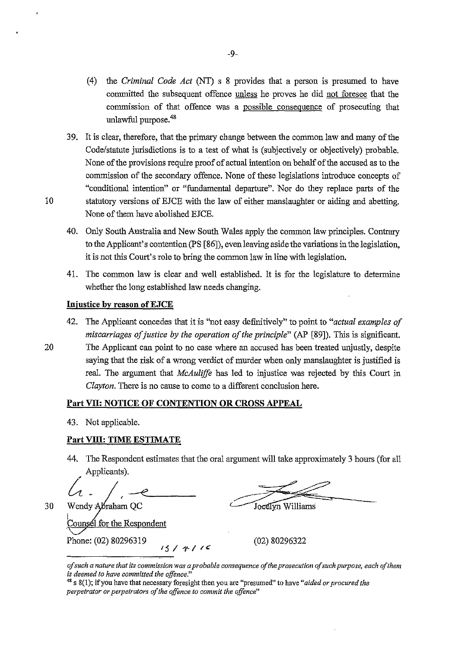- ( 4) the *Criminal Code Act* (NT) s 8 provides that a person is presumed to have connnitted the subsequent offence unless he proves he did not foresee that the connnission of that offence was a possible consequence of prosecuting that unlawful purpose.<sup>48</sup>
- 39. It is clear, therefore, that the primary change between the common law and many of the Code/statute jurisdictions is to a test of what is (subjectively or objectively) probable. None of the provisions require proof of actual intention on behalf of the accused as to the commission of the secondary offence. None of these legislations introduce concepts of "conditional intention" or "fundamental departure". Nor do they replace parts of the 10 statutory versions of EJCE with the law of either manslaughter or aiding and abetting. None of them have abolished EJCE.
	- 40. Only South Australia and New South Wales apply the common law principles. Contrary to the Applicant's contention (PS [86]), even leaving aside the variations in the legislation, it is not this Court's role to bring the common law in line with legislation.
	- 41. The common law is clear and well established. It is for the legislature to determine whether the long established law needs changing.

## **Injustice by reason ofEJCE**

- 42. The Applicant concedes that it is ''not easy definitively" to point to *"actual examples of miscarriages of justice by the operation of the principle"* (AP [89]). This is significant.
- 20 The Applicant can point to no case where an accused has been treated unjustly, despite saying that the risk of a wrong verdict of murder when only manslaughter is justified is real. The argument that *McAulifft* has led to injustice was rejected by this Court in *Clayton.* There is no cause to come to a different conclusion here.

# **Part VII: NOTICE OF CONTENTION OR CROSS APPEAL**

43. Not applicable.

# **Part Vlll: TIME ESTIMATE**

44. The Respondent estimates that the oral argument will take approximately 3 hours (for all Applicants).

it replaces the extension of the substitution of the state of the state of the Wendy Apraham QC . To cell yn Williams

ounsel for the Respondent Phone: (02) 80296319 <br>  $\frac{3}{5}$  /  $\frac{4}{5}$  /  $\frac{2}{5}$  (02) 80296322

30

*of such a nat11re that its commission was a probable consequence of the prosecution of such purpose, each of them is deerned to hcrve committed the offence."* 

<sup>48</sup> s 8(1); if you have that necessary foresight then you are "presumed" to have *"aided or procured the perpetrator or perpetrators of the offence to commit the offence"*